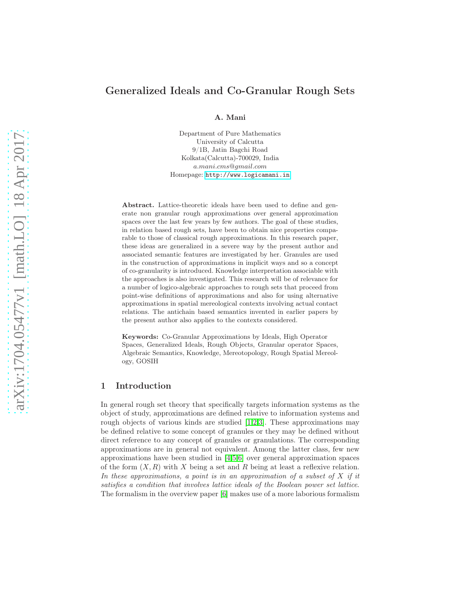# Generalized Ideals and Co-Granular Rough Sets

A. Mani

Department of Pure Mathematics University of Calcutta 9/1B, Jatin Bagchi Road Kolkata(Calcutta)-700029, India a.mani.cms@gmail.com Homepage: <http://www.logicamani.in>

Abstract. Lattice-theoretic ideals have been used to define and generate non granular rough approximations over general approximation spaces over the last few years by few authors. The goal of these studies, in relation based rough sets, have been to obtain nice properties comparable to those of classical rough approximations. In this research paper, these ideas are generalized in a severe way by the present author and associated semantic features are investigated by her. Granules are used in the construction of approximations in implicit ways and so a concept of co-granularity is introduced. Knowledge interpretation associable with the approaches is also investigated. This research will be of relevance for a number of logico-algebraic approaches to rough sets that proceed from point-wise definitions of approximations and also for using alternative approximations in spatial mereological contexts involving actual contact relations. The antichain based semantics invented in earlier papers by the present author also applies to the contexts considered.

Keywords: Co-Granular Approximations by Ideals, High Operator Spaces, Generalized Ideals, Rough Objects, Granular operator Spaces, Algebraic Semantics, Knowledge, Mereotopology, Rough Spatial Mereology, GOSIH

# 1 Introduction

In general rough set theory that specifically targets information systems as the object of study, approximations are defined relative to information systems and rough objects of various kinds are studied [\[1,](#page-18-0)[2](#page-18-1)[,3\]](#page-19-0). These approximations may be defined relative to some concept of granules or they may be defined without direct reference to any concept of granules or granulations. The corresponding approximations are in general not equivalent. Among the latter class, few new approximations have been studied in [\[4,](#page-19-1)[5](#page-19-2)[,6\]](#page-19-3) over general approximation spaces of the form  $(X, R)$  with X being a set and R being at least a reflexive relation. In these approximations, a point is in an approximation of a subset of X if it satisfies a condition that involves lattice ideals of the Boolean power set lattice. The formalism in the overview paper [\[6\]](#page-19-3) makes use of a more laborious formalism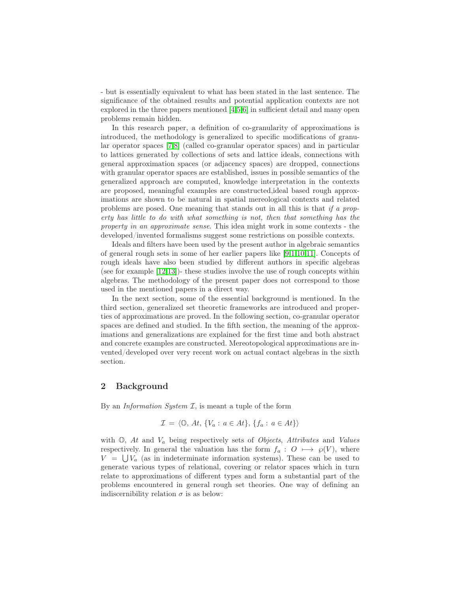- but is essentially equivalent to what has been stated in the last sentence. The significance of the obtained results and potential application contexts are not explored in the three papers mentioned [\[4,](#page-19-1)[5](#page-19-2)[,6\]](#page-19-3) in sufficient detail and many open problems remain hidden.

In this research paper, a definition of co-granularity of approximations is introduced, the methodology is generalized to specific modifications of granular operator spaces [\[7,](#page-19-4)[8\]](#page-19-5) (called co-granular operator spaces) and in particular to lattices generated by collections of sets and lattice ideals, connections with general approximation spaces (or adjacency spaces) are dropped, connections with granular operator spaces are established, issues in possible semantics of the generalized approach are computed, knowledge interpretation in the contexts are proposed, meaningful examples are constructed,ideal based rough approximations are shown to be natural in spatial mereological contexts and related problems are posed. One meaning that stands out in all this is that if a property has little to do with what something is not, then that something has the property in an approximate sense. This idea might work in some contexts - the developed/invented formalisms suggest some restrictions on possible contexts.

Ideals and filters have been used by the present author in algebraic semantics of general rough sets in some of her earlier papers like [\[9](#page-19-6)[,1](#page-18-0)[,10,](#page-19-7)[11\]](#page-19-8). Concepts of rough ideals have also been studied by different authors in specific algebras (see for example [\[12](#page-19-9)[,13\]](#page-19-10))- these studies involve the use of rough concepts within algebras. The methodology of the present paper does not correspond to those used in the mentioned papers in a direct way.

In the next section, some of the essential background is mentioned. In the third section, generalized set theoretic frameworks are introduced and properties of approximations are proved. In the following section, co-granular operator spaces are defined and studied. In the fifth section, the meaning of the approximations and generalizations are explained for the first time and both abstract and concrete examples are constructed. Mereotopological approximations are invented/developed over very recent work on actual contact algebras in the sixth section.

### 2 Background

By an *Information System I*, is meant a tuple of the form

$$
\mathcal{I} = \langle \mathbb{O}, At, \{V_a : a \in At\}, \{f_a : a \in At\} \rangle
$$

with  $\mathbb{O}$ , At and  $V_a$  being respectively sets of *Objects*, Attributes and Values respectively. In general the valuation has the form  $f_a: O \mapsto \wp(V)$ , where  $V = \bigcup V_a$  (as in indeterminate information systems). These can be used to generate various types of relational, covering or relator spaces which in turn relate to approximations of different types and form a substantial part of the problems encountered in general rough set theories. One way of defining an indiscernibility relation  $\sigma$  is as below: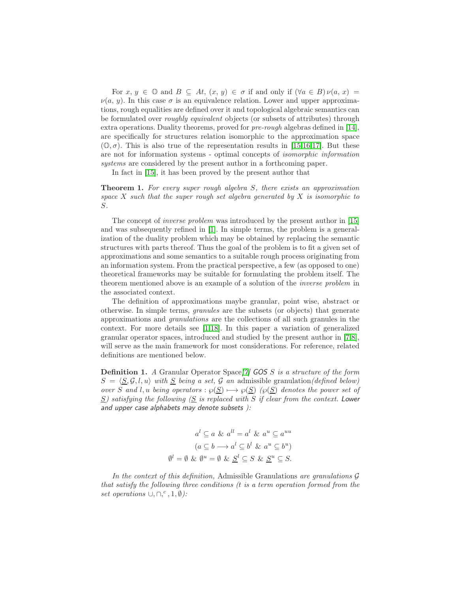For  $x, y \in \mathbb{O}$  and  $B \subseteq At, (x, y) \in \sigma$  if and only if  $(\forall a \in B) \nu(a, x) =$  $\nu(a, y)$ . In this case  $\sigma$  is an equivalence relation. Lower and upper approximations, rough equalities are defined over it and topological algebraic semantics can be formulated over roughly equivalent objects (or subsets of attributes) through extra operations. Duality theorems, proved for pre-rough algebras defined in [\[14\]](#page-19-11), are specifically for structures relation isomorphic to the approximation space  $(0, \sigma)$ . This is also true of the representation results in [\[15,](#page-19-12)[16](#page-19-13)[,17\]](#page-19-14). But these are not for information systems - optimal concepts of isomorphic information systems are considered by the present author in a forthcoming paper.

In fact in [\[15\]](#page-19-12), it has been proved by the present author that

Theorem 1. For every super rough algebra S, there exists an approximation space  $X$  such that the super rough set algebra generated by  $X$  is isomorphic to S.

The concept of inverse problem was introduced by the present author in [\[15\]](#page-19-12) and was subsequently refined in [\[1\]](#page-18-0). In simple terms, the problem is a generalization of the duality problem which may be obtained by replacing the semantic structures with parts thereof. Thus the goal of the problem is to fit a given set of approximations and some semantics to a suitable rough process originating from an information system. From the practical perspective, a few (as opposed to one) theoretical frameworks may be suitable for formulating the problem itself. The theorem mentioned above is an example of a solution of the inverse problem in the associated context.

The definition of approximations maybe granular, point wise, abstract or otherwise. In simple terms, granules are the subsets (or objects) that generate approximations and granulations are the collections of all such granules in the context. For more details see [\[1,](#page-18-0)[18\]](#page-19-15). In this paper a variation of generalized granular operator spaces, introduced and studied by the present author in [\[7](#page-19-4)[,8\]](#page-19-5), will serve as the main framework for most considerations. For reference, related definitions are mentioned below.

<span id="page-2-0"></span>**Definition 1.** A Granular Operator Space [\[7\]](#page-19-4) **GOS** S is a structure of the form  $S = \langle S, \mathcal{G}, l, u \rangle$  with S being a set, G an admissible granulation(defined below) over S and l, u being operators :  $\wp(\underline{S}) \mapsto \wp(\underline{S})$  ( $\wp(\underline{S})$  denotes the power set of S) satisfying the following  $(S$  is replaced with S if clear from the context. Lower and upper case alphabets may denote subsets ):

$$
a^{l} \subseteq a \& a^{ll} = a^{l} \& a^{u} \subseteq a^{uu}
$$

$$
(a \subseteq b \longrightarrow a^{l} \subseteq b^{l} \& a^{u} \subseteq b^{u})
$$

$$
\emptyset^{l} = \emptyset \& \emptyset^{u} = \emptyset \& \underline{S}^{l} \subseteq S \& \underline{S}^{u} \subseteq S.
$$

In the context of this definition, Admissible Granulations are granulations  $\mathcal G$ that satisfy the following three conditions (t is a term operation formed from the set operations  $\cup, \cap,^c, 1, \emptyset$ :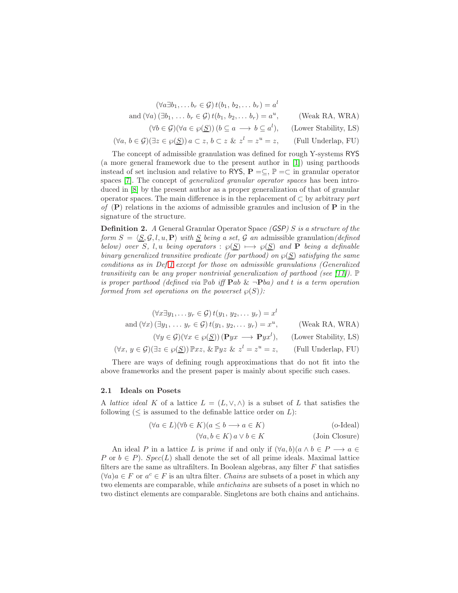$$
(\forall a \exists b_1, \dots b_r \in \mathcal{G}) t(b_1, b_2, \dots b_r) = a^l
$$
  
and  $(\forall a) (\exists b_1, \dots b_r \in \mathcal{G}) t(b_1, b_2, \dots b_r) = a^u$ , (Weak RA, WRA)  

$$
(\forall b \in \mathcal{G}) (\forall a \in \wp(\underline{S})) (b \subseteq a \longrightarrow b \subseteq a^l),
$$
 (Lower Stability, LS)  

$$
(\forall a, b \in \mathcal{G}) (\exists z \in \wp(\underline{S})) a \subset z, b \subset z \& z^l = z^u = z,
$$
 (Full Underlap, FU)

The concept of admissible granulation was defined for rough Y-systems RYS (a more general framework due to the present author in [\[1\]](#page-18-0)) using parthoods instead of set inclusion and relative to RYS,  $P = \subseteq, \mathbb{P} = \subseteq$  in granular operator spaces [\[7\]](#page-19-4). The concept of generalized granular operator spaces has been introduced in [\[8\]](#page-19-5) by the present author as a proper generalization of that of granular operator spaces. The main difference is in the replacement of  $\subset$  by arbitrary part of  $(P)$  relations in the axioms of admissible granules and inclusion of P in the signature of the structure.

**Definition 2.** A General Granular Operator Space (GSP) S is a structure of the form  $S = \langle \underline{S}, \mathcal{G}, l, u, \mathbf{P} \rangle$  with  $\underline{S}$  being a set, G an admissible granulation(defined below) over S, l, u being operators :  $\wp(\underline{S}) \longmapsto \wp(\underline{S})$  and P being a definable binary generalized transitive predicate (for parthood) on  $\wp(\underline{S})$  satisfying the same conditions as in Def[.1](#page-2-0) except for those on admissible granulations (Generalized transitivity can be any proper nontrivial generalization of parthood (see [\[11\]](#page-19-8)).  $\mathbb P$ is proper parthood (defined via Pab iff  $\mathbf{P}ab \& \neg \mathbf{P}ba$ ) and t is a term operation formed from set operations on the powerset  $\wp(S)$ :

$$
(\forall x \exists y_1, \dots y_r \in \mathcal{G}) t(y_1, y_2, \dots y_r) = x^l
$$
  
and 
$$
(\forall x) (\exists y_1, \dots y_r \in \mathcal{G}) t(y_1, y_2, \dots y_r) = x^u,
$$
 (Weak RA, WRA)  

$$
(\forall y \in \mathcal{G}) (\forall x \in \wp(\underline{S})) (\mathbf{P} yx \longrightarrow \mathbf{P} yx^l),
$$
 (Lower Stability, LS)  

$$
(\forall x, y \in \mathcal{G}) (\exists z \in \wp(\underline{S})) \mathbb{P} xz, \& \mathbb{P} yz \& z^l = z^u = z,
$$
 (Full Underlap, FU)

There are ways of defining rough approximations that do not fit into the above frameworks and the present paper is mainly about specific such cases.

#### 2.1 Ideals on Posets

A *lattice ideal* K of a lattice  $L = (L, \vee, \wedge)$  is a subset of L that satisfies the following ( $\leq$  is assumed to the definable lattice order on  $L$ ):

$$
(\forall a \in L)(\forall b \in K)(a \le b \longrightarrow a \in K)
$$
\n
$$
(o\text{-Ideal})
$$

$$
(\forall a, b \in K) a \lor b \in K
$$
 (Join Closure)

An ideal P in a lattice L is prime if and only if  $(\forall a, b)(a \land b \in P \longrightarrow a \in$ P or  $b \in P$ ). Spec(L) shall denote the set of all prime ideals. Maximal lattice filters are the same as ultrafilters. In Boolean algebras, any filter  $F$  that satisfies  $(\forall a) a \in F$  or  $a^c \in F$  is an ultra filter. *Chains* are subsets of a poset in which any two elements are comparable, while antichains are subsets of a poset in which no two distinct elements are comparable. Singletons are both chains and antichains.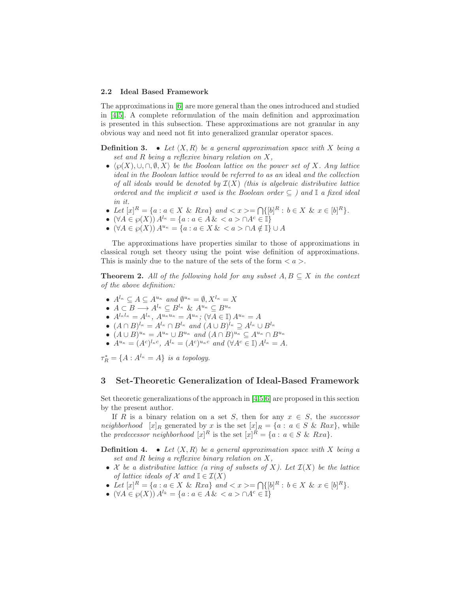#### 2.2 Ideal Based Framework

The approximations in [\[6\]](#page-19-3) are more general than the ones introduced and studied in [\[4](#page-19-1)[,5\]](#page-19-2). A complete reformulation of the main definition and approximation is presented in this subsection. These approximations are not granular in any obvious way and need not fit into generalized granular operator spaces.

**Definition 3.** • Let  $\langle X, R \rangle$  be a general approximation space with X being a set and R being a reflexive binary relation on X,

- $\langle \wp(X), \cup, \cap, \emptyset, X \rangle$  be the Boolean lattice on the power set of X. Any lattice ideal in the Boolean lattice would be referred to as an ideal and the collection of all ideals would be denoted by  $\mathcal{I}(X)$  (this is algebraic distributive lattice ordered and the implicit  $\sigma$  used is the Boolean order  $\subseteq$  ) and I a fixed ideal in it.
- Let  $[x]^R = \{a : a \in X \& Rxa\}$  and  $\langle x \rangle = \bigcap \{[b]^R : b \in X \& x \in [b]^R\}.$
- $(\forall A \in \wp(X)) A^{l_{\kappa}} = \{a : a \in A \& < a > \cap A^c \in \mathbb{I}\}\$
- $(\forall A \in \wp(X)) A^{u_{\kappa}} = \{a : a \in X \& < a > \cap A \notin \mathbb{I}\} \cup A$

The approximations have properties similar to those of approximations in classical rough set theory using the point wise definition of approximations. This is mainly due to the nature of the sets of the form  $\langle a \rangle$ .

**Theorem 2.** All of the following hold for any subset  $A, B \subseteq X$  in the context of the above definition:

- $A^{l_{\kappa}} \subseteq A \subseteq A^{u_{\kappa}}$  and  $\emptyset^{u_{\kappa}} = \emptyset, X^{l_{\kappa}} = X$
- $A \subset B \longrightarrow A^{l_{\kappa}} \subseteq B^{l_{\kappa}} \& A^{u_{\kappa}} \subseteq B^{u_{\kappa}}$
- $A^{l_{\kappa}l_{\kappa}} = A^{l_{\kappa}}, A^{u_{\kappa}u_{\kappa}} = A^{u_{\kappa}}$ ;  $(\forall A \in \mathbb{I}) A^{u_{\kappa}} = A$
- $(A \cap B)^{l_{\kappa}} = A^{l_{\kappa}} \cap B^{l_{\kappa}}$  and  $(A \cup B)^{l_{\kappa}} \supseteq A^{l_{\kappa}} \cup B^{l_{\kappa}}$
- $(A \cup B)^{u_{\kappa}} = A^{u_{\kappa}} \cup B^{u_{\kappa}}$  and  $(A \cap B)^{u_{\kappa}} \subseteq A^{u_{\kappa}} \cap B^{u_{\kappa}}$
- $A^{u_{\kappa}} = (A^c)^{l_{\kappa}c}, A^{l_{\kappa}} = (A^c)^{u_{\kappa}c}$  and  $(\forall A^c \in \mathbb{I}) A^{l_{\kappa}} = A$ .

 $\tau_R^* = \{A : A^{l_{\kappa}} = A\}$  is a topology.

## <span id="page-4-0"></span>3 Set-Theoretic Generalization of Ideal-Based Framework

Set theoretic generalizations of the approach in [\[4](#page-19-1)[,5,](#page-19-2)[6\]](#page-19-3) are proposed in this section by the present author.

If R is a binary relation on a set S, then for any  $x \in S$ , the successor *neighborhood*  $[x]_R$  generated by x is the set  $[x]_R = \{a : a \in S \& Rax\}$ , while the predecessor neighborhood  $[x]^R$  is the set  $[x]^R = \{a : a \in S \& Rxa\}.$ 

**Definition 4.** • Let  $\langle X, R \rangle$  be a general approximation space with X being a set and R being a reflexive binary relation on X,

- X be a distributive lattice (a ring of subsets of X). Let  $\mathcal{I}(X)$  be the lattice of lattice ideals of X and  $\mathbb{I} \in \mathcal{I}(X)$
- Let  $[x]^R = \{a : a \in X \& Rxa\}$  and  $\langle x \rangle = \bigcap \{[b]^R : b \in X \& x \in [b]^R\}.$
- $(\forall A \in \wp(X)) A^{l_k} = \{a : a \in A \& < a > \cap A^c \in \mathbb{I}\}\$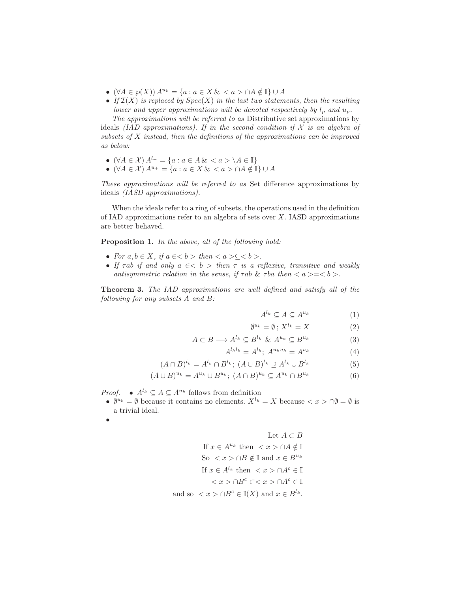- $(\forall A \in \wp(X)) A^{u_k} = \{a : a \in X \& < a > \cap A \notin \mathbb{I}\} \cup A$
- If  $\mathcal{I}(X)$  is replaced by  $Spec(X)$  in the last two statements, then the resulting lower and upper approximations will be denoted respectively by  $l_p$  and  $u_p$ .

The approximations will be referred to as Distributive set approximations by ideals *(IAD approximations)*. If in the second condition if  $X$  is an algebra of subsets of X instead, then the definitions of the approximations can be improved as below:

- $(\forall A \in \mathcal{X}) A^{l+} = \{a : a \in A \& < a > \setminus A \in \mathbb{I}\}\$
- $(\forall A \in \mathcal{X}) A^{u_+} = \{a : a \in X \& < a > \cap A \notin \mathbb{I}\} \cup A$

These approximations will be referred to as Set difference approximations by ideals (IASD approximations).

When the ideals refer to a ring of subsets, the operations used in the definition of IAD approximations refer to an algebra of sets over  $X$ . IASD approximations are better behaved.

Proposition 1. In the above, all of the following hold:

- For  $a, b \in X$ , if  $a \in **then** < a > **0**$ .
- If  $\tau ab$  if and only  $a \in < b >$  then  $\tau$  is a reflexive, transitive and weakly antisymmetric relation in the sense, if  $\tau ab \& \tau ba$  then  $\langle a \rangle = \langle b \rangle$ .

Theorem 3. The IAD approximations are well defined and satisfy all of the following for any subsets A and B:

$$
A^{l_k} \subseteq A \subseteq A^{u_k} \tag{1}
$$

$$
\emptyset^{u_k} = \emptyset; X^{l_k} = X \tag{2}
$$

$$
A \subset B \longrightarrow A^{l_k} \subseteq B^{l_k} \& A^{u_k} \subseteq B^{u_k} \tag{3}
$$

$$
A^{l_k l_k} = A^{l_k}; A^{u_k u_k} = A^{u_k} \tag{4}
$$

$$
(A \cap B)^{l_k} = A^{l_k} \cap B^{l_k}; \ (A \cup B)^{l_k} \supseteq A^{l_k} \cup B^{l_k}
$$
 (5)

$$
(A \cup B)^{u_k} = A^{u_k} \cup B^{u_k}; \ (A \cap B)^{u_k} \subseteq A^{u_k} \cap B^{u_k} \tag{6}
$$

*Proof.* •  $A^{l_k} \subseteq A \subseteq A^{u_k}$  follows from definition

- $\mathbb{I}_{q}^{u_k} = \mathbb{I}_{q_k}$  because it contains no elements.  $X^{l_k} = X$  because  $\langle x \rangle \cap \mathbb{I}_{q_k} = \mathbb{I}_{q_k}$  is a trivial ideal.
- •

Let 
$$
A \subset B
$$
  
\nIf  $x \in A^{u_k}$  then  $\langle x \rangle \cap A \notin \mathbb{I}$   
\nSo  $\langle x \rangle \cap B \notin \mathbb{I}$  and  $x \in B^{u_k}$   
\nIf  $x \in A^{l_k}$  then  $\langle x \rangle \cap A^c \in \mathbb{I}$   
\n $\langle x \rangle \cap B^c \subset \langle x \rangle \cap A^c \in \mathbb{I}$   
\nso  $\langle x \rangle \cap B^c \subset \mathbb{I}(X)$  and  $x \in B^{l_k}$ 

and so  $\langle x \rangle \cap B^c \in \mathbb{I}(X)$  and  $x \in B^{l_k}$ .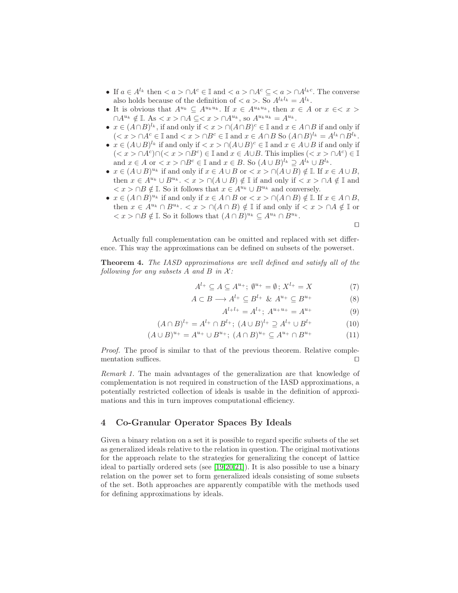- If  $a \in A^{l_k}$  then  $a > \bigcap A^c \in \mathbb{I}$  and  $a > \bigcap A^c \subseteq a > \bigcap A^{l_k c}$ . The converse also holds because of the definition of  $\langle a \rangle$ . So  $A^{l_k l_k} = A^{l_k}$ .
- It is obvious that  $A^{u_k} \subseteq A^{u_k u_k}$ . If  $x \in A^{u_k u_k}$ , then  $x \in A$  or  $x \in \langle x \rangle$  $\cap A^{u_k} \notin \mathbb{I}.$  As  $< x > \cap A \subseteq < x > \cap A^{u_k},$  so  $A^{u_k u_k} = A^{u_k}.$
- $x \in (A \cap B)^{l_k}$ , if and only if  $\langle x \rangle \cap (A \cap B)^c \in \mathbb{I}$  and  $x \in A \cap B$  if and only if  $(*x* > ∩ *A*<sup>c</sup> ∈  $\mathbb{I}$  and *< x* > ∩ *B*<sup>c</sup> ∈  $\mathbb{I}$  and *x* ∈ *A* ∩ *B* So  $(A ∩ B)^{l_k} = A^{l_k} ∩ B^{l_k}$ .$
- $x \in (A \cup B)^{l_k}$  if and only if  $\langle x \rangle \cap (A \cup B)^c \in \mathbb{I}$  and  $x \in A \cup B$  if and only if  $(*x* > ∩*A*<sup>c</sup>) ∩ (*x* > ∩*B*<sup>c</sup>) ∈ **I** and *x* ∈ *A* ∪ *B*. This implies (*x* > ∩*A*<sup>c</sup>) ∈ **I**$ and  $x \in A$  or  $\langle x \rangle \cap B^c \in \mathbb{I}$  and  $x \in B$ . So  $(A \cup B)^{l_k} \supseteq A^{l_k} \cup B^{l_k}$ .
- $x \in (A \cup B)^{u_k}$  if and only if  $x \in A \cup B$  or  $\langle x \rangle \cap (A \cup B) \notin \mathbb{I}$ . If  $x \in A \cup B$ , then  $x \in A^{u_k} \cup B^{u_k}$ .  $\langle x \rangle \cap (A \cup B) \notin \mathbb{I}$  if and only if  $\langle x \rangle \cap A \notin \mathbb{I}$  and  $\langle x \rangle \cap B \notin \mathbb{I}$ . So it follows that  $x \in A^{u_k} \cup B^{u_k}$  and conversely.
- $x \in (A \cap B)^{u_k}$  if and only if  $x \in A \cap B$  or  $\langle x \rangle \cap (A \cap B) \notin \mathbb{I}$ . If  $x \in A \cap B$ , then  $x \in A^{u_k} \cap B^{u_k}$ .  $\langle x \rangle \cap (A \cap B) \notin I$  if and only if  $\langle x \rangle \cap A \notin I$  or  $\langle x \rangle \cap B \notin \mathbb{I}$ . So it follows that  $(A \cap B)^{u_k} \subseteq A^{u_k} \cap B^{u_k}$ .

Actually full complementation can be omitted and replaced with set difference. This way the approximations can be defined on subsets of the powerset.

Theorem 4. The IASD approximations are well defined and satisfy all of the following for any subsets  $A$  and  $B$  in  $\mathcal{X}$ :

$$
A^{l+} \subseteq A \subseteq A^{u+}; \ \emptyset^{u+} = \emptyset; \ X^{l+} = X \tag{7}
$$

$$
A \subset B \longrightarrow A^{l_+} \subseteq B^{l_+} \& A^{u_+} \subseteq B^{u_+} \tag{8}
$$

 $A^{l+l+} = A^{l+}; A^{u+u+} = A$  $(9)$ 

⊓⊔

$$
(A \cap B)^{l_+} = A^{l_+} \cap B^{l_+}; \ (A \cup B)^{l_+} \supseteq A^{l_+} \cup B^{l_+}
$$
 (10)

$$
(A \cup B)^{u_+} = A^{u_+} \cup B^{u_+}; \ (A \cap B)^{u_+} \subseteq A^{u_+} \cap B^{u_+} \tag{11}
$$

Proof. The proof is similar to that of the previous theorem. Relative complementation suffices. ⊓⊔

Remark 1. The main advantages of the generalization are that knowledge of complementation is not required in construction of the IASD approximations, a potentially restricted collection of ideals is usable in the definition of approximations and this in turn improves computational efficiency.

# 4 Co-Granular Operator Spaces By Ideals

Given a binary relation on a set it is possible to regard specific subsets of the set as generalized ideals relative to the relation in question. The original motivations for the approach relate to the strategies for generalizing the concept of lattice ideal to partially ordered sets (see [\[19,](#page-19-16)[20,](#page-19-17)[21\]](#page-19-18)). It is also possible to use a binary relation on the power set to form generalized ideals consisting of some subsets of the set. Both approaches are apparently compatible with the methods used for defining approximations by ideals.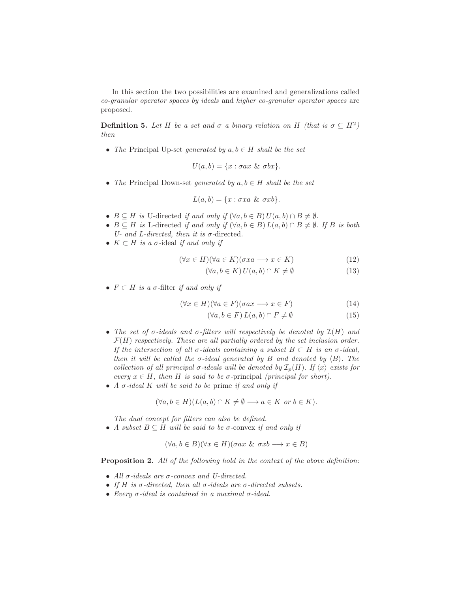In this section the two possibilities are examined and generalizations called co-granular operator spaces by ideals and higher co-granular operator spaces are proposed.

<span id="page-7-0"></span>**Definition 5.** Let H be a set and  $\sigma$  a binary relation on H (that is  $\sigma \subseteq H^2$ ) then

• The Principal Up-set generated by  $a, b \in H$  shall be the set

$$
U(a,b) = \{x : \sigma ax \& \sigma bx\}.
$$

• The Principal Down-set generated by  $a, b \in H$  shall be the set

$$
L(a,b) = \{x : \sigma xa \& \sigma xb\}.
$$

- $B \subseteq H$  is U-directed if and only if  $(\forall a, b \in B) U(a, b) \cap B \neq \emptyset$ .
- $B \subseteq H$  is L-directed if and only if  $(\forall a, b \in B) L(a, b) \cap B \neq \emptyset$ . If B is both U- and L-directed, then it is  $\sigma$ -directed.
- $K \subset H$  is a  $\sigma$ -ideal if and only if

$$
(\forall x \in H)(\forall a \in K)(\sigma xa \longrightarrow x \in K) \tag{12}
$$

$$
(\forall a, b \in K) U(a, b) \cap K \neq \emptyset \tag{13}
$$

•  $F \subset H$  is a  $\sigma$ -filter if and only if

$$
(\forall x \in H)(\forall a \in F)(\sigma ax \longrightarrow x \in F) \tag{14}
$$

$$
(\forall a, b \in F) L(a, b) \cap F \neq \emptyset \tag{15}
$$

- The set of  $\sigma$ -ideals and  $\sigma$ -filters will respectively be denoted by  $\mathcal{I}(H)$  and  $\mathcal{F}(H)$  respectively. These are all partially ordered by the set inclusion order. If the intersection of all  $\sigma$ -ideals containing a subset  $B \subset H$  is an  $\sigma$ -ideal, then it will be called the  $\sigma$ -ideal generated by B and denoted by  $\langle B \rangle$ . The collection of all principal  $\sigma$ -ideals will be denoted by  $\mathcal{I}_p(H)$ . If  $\langle x \rangle$  exists for every  $x \in H$ , then H is said to be  $\sigma$ -principal (principal for short).
- $A$   $\sigma$ -ideal  $K$  will be said to be prime if and only if

$$
(\forall a, b \in H)(L(a, b) \cap K \neq \emptyset \longrightarrow a \in K \text{ or } b \in K).
$$

The dual concept for filters can also be defined.

• A subset  $B \subseteq H$  will be said to be  $\sigma$ -convex if and only if

$$
(\forall a, b \in B)(\forall x \in H)(\sigma ax \& \sigma xb \longrightarrow x \in B)
$$

Proposition 2. All of the following hold in the context of the above definition:

- All  $\sigma$ -ideals are  $\sigma$ -convex and U-directed.
- If H is  $\sigma$ -directed, then all  $\sigma$ -ideals are  $\sigma$ -directed subsets.
- Every  $\sigma$ -ideal is contained in a maximal  $\sigma$ -ideal.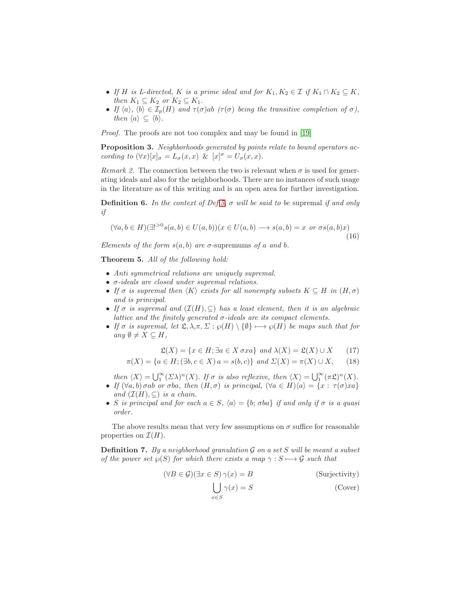- If H is L-directed, K is a prime ideal and for  $K_1, K_2 \in \mathcal{I}$  if  $K_1 \cap K_2 \subseteq K$ , then  $K_1 \subseteq K_2$  or  $K_2 \subseteq K_1$ .
- If  $\langle a \rangle$ ,  $\langle b \rangle \in \mathcal{I}_p(H)$  and  $\tau(\sigma)ab$  ( $\tau(\sigma)$  being the transitive completion of  $\sigma$ ), then  $\langle a \rangle \subseteq \langle b \rangle$ .

Proof. The proofs are not too complex and may be found in [\[19\]](#page-19-16)

Proposition 3. Neighborhoods generated by points relate to bound operators according to  $(\forall x)[x]_{\sigma} = L_{\sigma}(x,x)$  &  $[x]^{\sigma} = U_{\sigma}(x,x)$ .

Remark 2. The connection between the two is relevant when  $\sigma$  is used for generating ideals and also for the neighborhoods. There are no instances of such usage in the literature as of this writing and is an open area for further investigation.

**Definition 6.** In the context of Def[.5,](#page-7-0)  $\sigma$  will be said to be supremal if and only if

$$
(\forall a, b \in H)(\exists !^{>0} s(a, b) \in U(a, b))(x \in U(a, b) \longrightarrow s(a, b) = x \text{ or } \sigma s(a, b)x)
$$
\n(16)

Elements of the form  $s(a, b)$  are  $\sigma$ -supremums of a and b.

Theorem 5. All of the following hold:

- Anti symmetrical relations are uniquely supremal.
- σ-ideals are closed under supremal relations.
- If  $\sigma$  is supremal then  $\langle K \rangle$  exists for all nonempty subsets  $K \subseteq H$  in  $(H, \sigma)$ and is principal.
- If  $\sigma$  is supremal and  $(\mathcal{I}(H), \subseteq)$  has a least element, then it is an algebraic lattice and the finitely generated  $\sigma$ -ideals are its compact elements.
- If  $\sigma$  is supremal, let  $\mathfrak{L}, \lambda, \pi, \Sigma : \wp(H) \setminus \{\emptyset\} \longmapsto \wp(H)$  be maps such that for any  $\emptyset \neq X \subseteq H$ ,

$$
\mathfrak{L}(X) = \{ x \in H; \exists a \in X \text{ or } xa \} \text{ and } \lambda(X) = \mathfrak{L}(X) \cup X \qquad (17)
$$

$$
\pi(X) = \{ a \in H; (\exists b, c \in X) \, a = s(b, c) \} \, and \, \Sigma(X) = \pi(X) \cup X, \qquad (18)
$$

then  $\langle X \rangle = \bigcup_{1}^{\infty} (\Sigma \lambda)^n (X)$ . If  $\sigma$  is also reflexive, then  $\langle X \rangle = \bigcup_{1}^{\infty} (\pi \mathfrak{L})^n (X)$ .

- If  $(\forall a, b)$  σab or σba, then  $(H, \sigma)$  is principal,  $(\forall a \in H)(a) = \{x : \tau(\sigma)xa\}$ and  $(\mathcal{I}(H), \subseteq)$  is a chain.
- S is principal and for each  $a \in S$ ,  $\langle a \rangle = \{b; \sigma ba\}$  if and only if  $\sigma$  is a quasi order.

The above results mean that very few assumptions on  $\sigma$  suffice for reasonable properties on  $\mathcal{I}(H)$ .

**Definition 7.** By a neighborhood granulation  $\mathcal G$  on a set  $S$  will be meant a subset of the power set  $\wp(S)$  for which there exists a map  $\gamma : S \longmapsto \mathcal{G}$  such that

$$
(\forall B \in \mathcal{G})(\exists x \in S) \gamma(x) = B
$$
 (Surjectivity)  

$$
\bigcup_{x \in S} \gamma(x) = S
$$
 (Cover)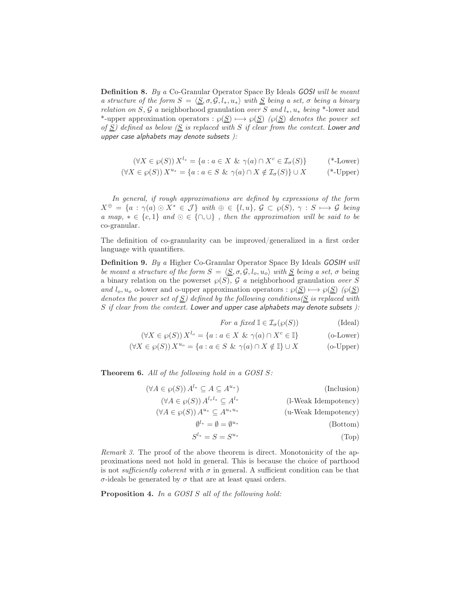Definition 8. By a Co-Granular Operator Space By Ideals GOSI will be meant a structure of the form  $S = \langle \underline{S}, \sigma, \mathcal{G}, l_*, u_* \rangle$  with  $\underline{S}$  being a set,  $\sigma$  being a binary relation on S, G a neighborhood granulation over S and  $l_*, u_*$  being \*-lower and \*-upper approximation operators :  $\wp(\underline{S}) \mapsto \wp(\underline{S})$  ( $\wp(\underline{S})$ ) denotes the power set of  $S$ ) defined as below ( $S$  is replaced with S if clear from the context. Lower and upper case alphabets may denote subsets ):

$$
(\forall X \in \wp(S)) X^{l_*} = \{ a : a \in X \& \gamma(a) \cap X^c \in \mathcal{I}_\sigma(S) \}
$$
 (\*-Lower)

$$
(\forall X \in \wp(S)) X^{u_*} = \{ a : a \in S \& \gamma(a) \cap X \notin \mathcal{I}_{\sigma}(S) \} \cup X \qquad (*\text{-Upper})
$$

In general, if rough approximations are defined by expressions of the form  $X^{\oplus} = \{a : \gamma(a) \odot X^* \in \mathcal{J}\}\$  with  $\oplus \in \{l, u\}, \mathcal{G} \subset \wp(S), \gamma : S \longmapsto \mathcal{G}$  being a map,  $* \in \{c, 1\}$  and  $\odot \in \{\cap, \cup\}$ , then the approximation will be said to be co-granular.

The definition of co-granularity can be improved/generalized in a first order language with quantifiers.

Definition 9. By a Higher Co-Granular Operator Space By Ideals GOSIH will be meant a structure of the form  $S = \langle S, \sigma, \mathcal{G}, l_o, u_o \rangle$  with  $S$  being a set,  $\sigma$  being a binary relation on the powerset  $\wp(S)$ , G a neighborhood granulation over S and  $l_o, u_o$  o-lower and o-upper approximation operators :  $\wp(\underline{S}) \longmapsto \wp(\underline{S})$  ( $\wp(\underline{S})$ ) denotes the power set of  $\underline{S}$ ) defined by the following conditions( $\underline{S}$  is replaced with S if clear from the context. Lower and upper case alphabets may denote subsets ):

For a fixed  $\mathbb{I} \in \mathcal{I}_{\sigma}(\wp(S))$  (Ideal)

$$
(\forall X \in \wp(S)) X^{l_o} = \{a : a \in X \& \gamma(a) \cap X^c \in \mathbb{I}\}
$$
 (o-Lower)

 $(\forall X \in \wp(S)) X^{u_o} = \{a : a \in S \& \gamma(a) \cap X \notin \mathbb{I}\} \cup X$  (o-Upper)

Theorem 6. All of the following hold in a GOSI S:

| (Inclusion)          | $(\forall A \in \wp(S)) A^{l_*} \subseteq A \subseteq A^{u_*})$ |
|----------------------|-----------------------------------------------------------------|
| (l-Weak Idempotency) | $(\forall A \in \wp(S)) A^{l_*l_*} \subseteq A^{l_*}$           |
| (u-Weak Idempotency) | $(\forall A \in \wp(S)) A^{u_*} \subseteq A^{u_*u_*}$           |
| (Bottom)             | $\emptyset^{l*} = \emptyset = \emptyset^{u*}$                   |
| (Top)                | $S^{l*} = S = S^{u*}$                                           |

Remark 3. The proof of the above theorem is direct. Monotonicity of the approximations need not hold in general. This is because the choice of parthood is not *sufficiently coherent* with  $\sigma$  in general. A sufficient condition can be that σ-ideals be generated by σ that are at least quasi orders.

Proposition 4. In a GOSI S all of the following hold: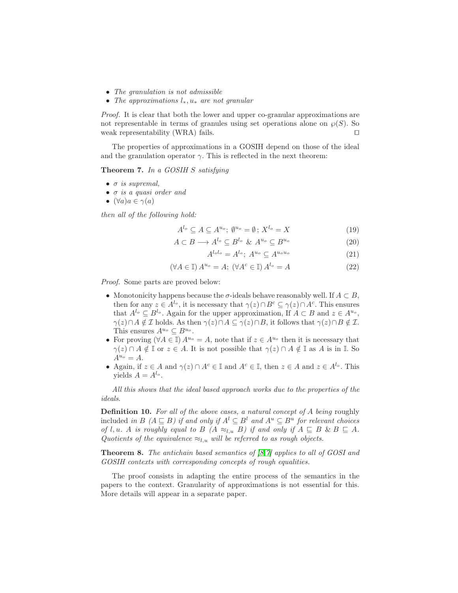- The granulation is not admissible
- The approximations  $l_*, u_*$  are not granular

Proof. It is clear that both the lower and upper co-granular approximations are not representable in terms of granules using set operations alone on  $\wp(S)$ . So weak representability (WRA) fails. □

The properties of approximations in a GOSIH depend on those of the ideal and the granulation operator  $\gamma$ . This is reflected in the next theorem:

Theorem 7. In a GOSIH S satisfying

- $\bullet$   $\sigma$  is supremal,
- $\bullet$   $\sigma$  is a quasi order and
- $(\forall a) a \in \gamma(a)$

then all of the following hold:

$$
A^{l_o} \subseteq A \subseteq A^{u_o}; \ \emptyset^{u_o} = \emptyset; \ X^{l_o} = X \tag{19}
$$

$$
A \subset B \longrightarrow A^{l_o} \subseteq B^{l_o} \& A^{u_o} \subseteq B^{u_o} \tag{20}
$$

$$
A^{l_o l_o} = A^{l_o}; \ A^{u_o} \subseteq A^{u_o u_o} \tag{21}
$$

$$
(\forall A \in \mathbb{I}) A^{u_o} = A; \ (\forall A^c \in \mathbb{I}) A^{l_o} = A
$$
\n
$$
(22)
$$

Proof. Some parts are proved below:

- Monotonicity happens because the  $\sigma$ -ideals behave reasonably well. If  $A \subset B$ , then for any  $z \in A^{l_o}$ , it is necessary that  $\gamma(z) \cap B^c \subseteq \gamma(z) \cap A^c$ . This ensures that  $A^{l_o} \subseteq B^{l_o}$ . Again for the upper approximation, If  $A \subset B$  and  $z \in A^{u_o}$ ,  $\gamma(z) \cap A \notin \mathcal{I}$  holds. As then  $\gamma(z) \cap A \subseteq \gamma(z) \cap B$ , it follows that  $\gamma(z) \cap B \notin \mathcal{I}$ . This ensures  $A^{u_o} \subseteq B^{u_o}$ .
- For proving  $(\forall A \in \mathbb{I}) A^{u_o} = A$ , note that if  $z \in A^{u_o}$  then it is necessary that  $\gamma(z) \cap A \notin \mathbb{I}$  or  $z \in A$ . It is not possible that  $\gamma(z) \cap A \notin \mathbb{I}$  as A is in I. So  $A^{u_o}=A.$
- Again, if  $z \in A$  and  $\gamma(z) \cap A^c \in \mathbb{I}$  and  $A^c \in \mathbb{I}$ , then  $z \in A$  and  $z \in A^{l_o}$ . This yields  $A = A^{l_o}$ .

All this shows that the ideal based approach works due to the properties of the ideals.

Definition 10. For all of the above cases, a natural concept of A being roughly included in B  $(A \sqsubseteq B)$  if and only if  $A^l \subseteq B^l$  and  $A^u \subseteq B^u$  for relevant choices of l, u. A is roughly equal to B  $(A \approx_{l,u} B)$  if and only if  $A \subseteq B \& B \subseteq A$ . Quotients of the equivalence  $\approx_{l,u}$  will be referred to as rough objects.

**Theorem 8.** The antichain based semantics of  $[8,7]$  $[8,7]$  applies to all of GOSI and GOSIH contexts with corresponding concepts of rough equalities.

The proof consists in adapting the entire process of the semantics in the papers to the context. Granularity of approximations is not essential for this. More details will appear in a separate paper.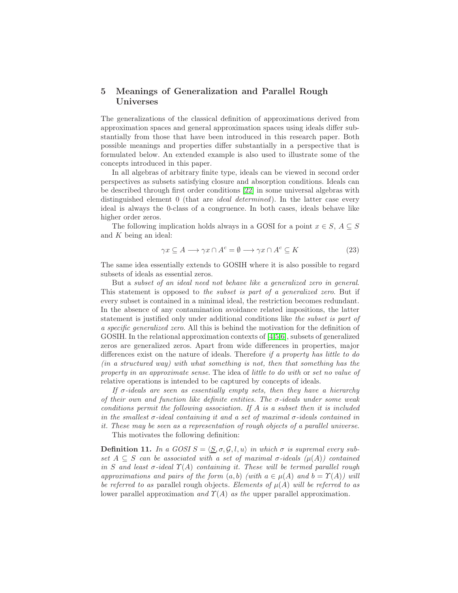# 5 Meanings of Generalization and Parallel Rough Universes

The generalizations of the classical definition of approximations derived from approximation spaces and general approximation spaces using ideals differ substantially from those that have been introduced in this research paper. Both possible meanings and properties differ substantially in a perspective that is formulated below. An extended example is also used to illustrate some of the concepts introduced in this paper.

In all algebras of arbitrary finite type, ideals can be viewed in second order perspectives as subsets satisfying closure and absorption conditions. Ideals can be described through first order conditions [\[22\]](#page-19-19) in some universal algebras with distinguished element 0 (that are *ideal determined*). In the latter case every ideal is always the 0-class of a congruence. In both cases, ideals behave like higher order zeros.

The following implication holds always in a GOSI for a point  $x \in S$ ,  $A \subseteq S$ and K being an ideal:

$$
\gamma x \subseteq A \longrightarrow \gamma x \cap A^c = \emptyset \longrightarrow \gamma x \cap A^c \subseteq K \tag{23}
$$

The same idea essentially extends to GOSIH where it is also possible to regard subsets of ideals as essential zeros.

But a subset of an ideal need not behave like a generalized zero in general. This statement is opposed to the *subset is part of a generalized zero*. But if every subset is contained in a minimal ideal, the restriction becomes redundant. In the absence of any contamination avoidance related impositions, the latter statement is justified only under additional conditions like the subset is part of a specific generalized zero. All this is behind the motivation for the definition of GOSIH. In the relational approximation contexts of [\[4](#page-19-1)[,5,](#page-19-2)[6\]](#page-19-3), subsets of generalized zeros are generalized zeros. Apart from wide differences in properties, major differences exist on the nature of ideals. Therefore if a property has little to do (in a structured way) with what something is not, then that something has the property in an approximate sense. The idea of little to do with or set no value of relative operations is intended to be captured by concepts of ideals.

If  $\sigma$ -ideals are seen as essentially empty sets, then they have a hierarchy of their own and function like definite entities. The  $\sigma$ -ideals under some weak conditions permit the following association. If A is a subset then it is included in the smallest  $\sigma$ -ideal containing it and a set of maximal  $\sigma$ -ideals contained in it. These may be seen as a representation of rough objects of a parallel universe.

This motivates the following definition:

**Definition 11.** In a GOSI  $S = \langle S, \sigma, \mathcal{G}, l, u \rangle$  in which  $\sigma$  is supremal every subset  $A \subseteq S$  can be associated with a set of maximal  $\sigma$ -ideals ( $\mu(A)$ ) contained in S and least  $\sigma$ -ideal  $\Upsilon(A)$  containing it. These will be termed parallel rough approximations and pairs of the form  $(a, b)$  (with  $a \in \mu(A)$  and  $b = \Upsilon(A)$ ) will be referred to as parallel rough objects. Elements of  $\mu(A)$  will be referred to as lower parallel approximation and  $\Upsilon(A)$  as the upper parallel approximation.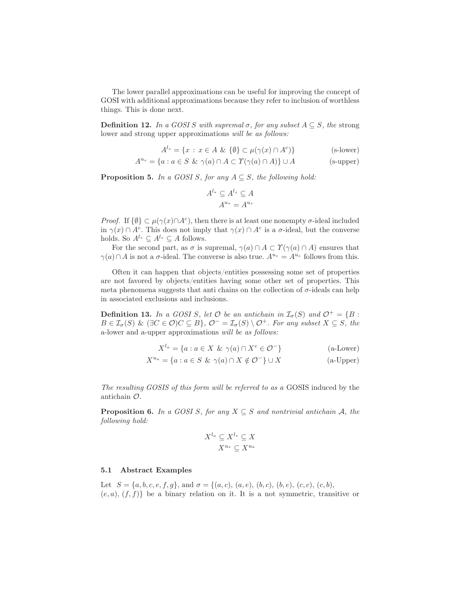The lower parallel approximations can be useful for improving the concept of GOSI with additional approximations because they refer to inclusion of worthless things. This is done next.

**Definition 12.** In a GOSI S with supremal  $\sigma$ , for any subset  $A \subseteq S$ , the strong lower and strong upper approximations will be as follows:

$$
A^{l_s} = \{x : x \in A \& \{\emptyset\} \subset \mu(\gamma(x) \cap A^c)\}\
$$
 (s-lower)

$$
A^{u_s} = \{a : a \in S \& \gamma(a) \cap A \subset \Upsilon(\gamma(a) \cap A)\} \cup A \tag{s-upper}
$$

**Proposition 5.** In a GOSI S, for any  $A \subseteq S$ , the following hold:

$$
A^{l_*} \subseteq A^{l_s} \subseteq A
$$

$$
A^{u_*} = A^{u_s}
$$

Proof. If  $\{\emptyset\} \subset \mu(\gamma(x) \cap A^c)$ , then there is at least one nonempty  $\sigma$ -ideal included in  $\gamma(x) \cap A^c$ . This does not imply that  $\gamma(x) \cap A^c$  is a  $\sigma$ -ideal, but the converse holds. So  $A^{l_*} \subseteq A^{l_s} \subseteq A$  follows.

For the second part, as  $\sigma$  is supremal,  $\gamma(a) \cap A \subset \Upsilon(\gamma(a) \cap A)$  ensures that  $\gamma(a) \cap A$  is not a  $\sigma$ -ideal. The converse is also true.  $A^{u_*} = A^{u_s}$  follows from this.

Often it can happen that objects/entities possessing some set of properties are not favored by objects/entities having some other set of properties. This meta phenomena suggests that anti chains on the collection of  $\sigma$ -ideals can help in associated exclusions and inclusions.

**Definition 13.** In a GOSI S, let  $\mathcal{O}$  be an antichain in  $\mathcal{I}_{\sigma}(S)$  and  $\mathcal{O}^+ = \{B :$  $B\in\mathcal{I}_{\sigma}(S)$  &  $(\exists C\in\mathcal{O})C\subseteq B$ ,  $\mathcal{O}^{-}=\mathcal{I}_{\sigma}(S)\setminus\mathcal{O}^{+}$ . For any subset  $X\subseteq S$ , the a-lower and a-upper approximations will be as follows:

$$
X^{l_a} = \{a : a \in X \& \gamma(a) \cap X^c \in \mathcal{O}^-\}\
$$
 (a-Lower)

$$
X^{u_a} = \{a : a \in S \& \gamma(a) \cap X \notin \mathcal{O}^-\} \cup X \tag{a-Upper}
$$

The resulting GOSIS of this form will be referred to as a GOSIS induced by the antichain O.

**Proposition 6.** In a GOSI S, for any  $X \subseteq S$  and nontrivial antichain A, the following hold:

$$
X^{l_a} \subseteq X^{l_*} \subseteq X
$$

$$
X^{u_*} \subseteq X^{u_a}
$$

### 5.1 Abstract Examples

Let  $S = \{a, b, c, e, f, g\}$ , and  $\sigma = \{(a, c), (a, e), (b, c), (b, e), (c, c), (c, b),$  $(e, a), (f, f)$ } be a binary relation on it. It is a not symmetric, transitive or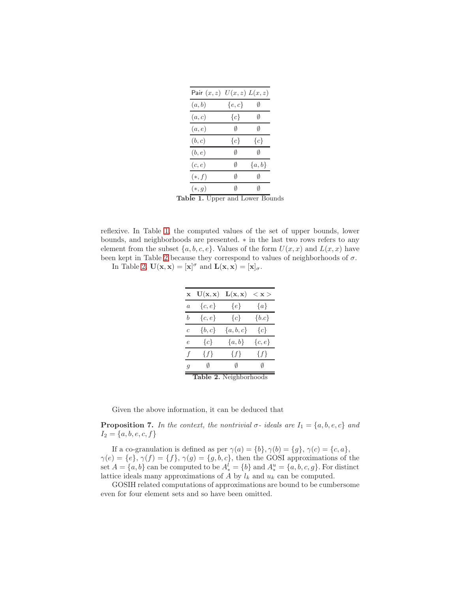| Pair $(x,z)$     | U(x, z) L(x, z) |               |
|------------------|-----------------|---------------|
| (a,b)            | $\{e,c\}$       |               |
| (a,c)            | ${c}$           | Ø             |
| (a,e)            | Ø               | Ø             |
| (b, c)           | ${c}$           | $\{c\}$       |
| (b,e)            | Ø               | Ø             |
| (c, e)           | Ø               | $\{a,b\}$     |
| $(*,f)$          | Ø               | Ø             |
| $(*,g)$          | Ø               | Ø             |
| H <sub>nn/</sub> |                 | $\Gamma \sim$ |

<span id="page-13-0"></span>Table 1. Upper and Lower Bounds

reflexive. In Table [1,](#page-13-0) the computed values of the set of upper bounds, lower bounds, and neighborhoods are presented. ∗ in the last two rows refers to any element from the subset  $\{a, b, c, e\}$ . Values of the form  $U(x, x)$  and  $L(x, x)$  have been kept in Table [2](#page-13-1) because they correspond to values of neighborhoods of  $\sigma$ .

In Table [2,](#page-13-1)  $\mathbf{U}(\mathbf{x}, \mathbf{x}) = [\mathbf{x}]^{\sigma}$  and  $\mathbf{L}(\mathbf{x}, \mathbf{x}) = [\mathbf{x}]_{\sigma}$ .

| $\mathbf x$    | $\mathbf{U}(\mathbf{x},\mathbf{x})$ | $L(\mathbf{x}, \mathbf{x})$ | $<\rm x>$ |
|----------------|-------------------------------------|-----------------------------|-----------|
| $\overline{a}$ | $\{c,e\}$                           | $\{e\}$                     | ${a}$     |
| h              | $\{c, e\}$                          | ${c}$                       | $\{b.c\}$ |
| $\overline{c}$ | $\{b,c\}$                           | $\{a, b, c\}$               | ${c}$     |
| $\epsilon$     | ${c}$                               | ${a,b}$                     | $\{c,e\}$ |
| f              | $\{f\}$                             | $\{f\}$                     | $\{f\}$   |
| $\overline{g}$ | Ø                                   | Ø                           | Ø         |
|                | ---<br>$\sim$                       | $\cdots$<br>$\mathbf{r}$    |           |

<span id="page-13-1"></span>Table 2. Neighborhoods

Given the above information, it can be deduced that

**Proposition 7.** In the context, the nontrivial  $\sigma$ - ideals are  $I_1 = \{a, b, e, c\}$  and  $I_2 = \{a, b, e, c, f\}$ 

If a co-granulation is defined as per  $\gamma(a) = \{b\}, \gamma(b) = \{g\}, \gamma(c) = \{c, a\},\$  $\gamma(e) = \{e\}, \gamma(f) = \{f\}, \gamma(g) = \{g, b, c\},\$  then the GOSI approximations of the set  $A = \{a, b\}$  can be computed to be  $A_*^l = \{b\}$  and  $A_*^u = \{a, b, c, g\}$ . For distinct lattice ideals many approximations of  $A$  by  $l_k$  and  $u_k$  can be computed.

GOSIH related computations of approximations are bound to be cumbersome even for four element sets and so have been omitted.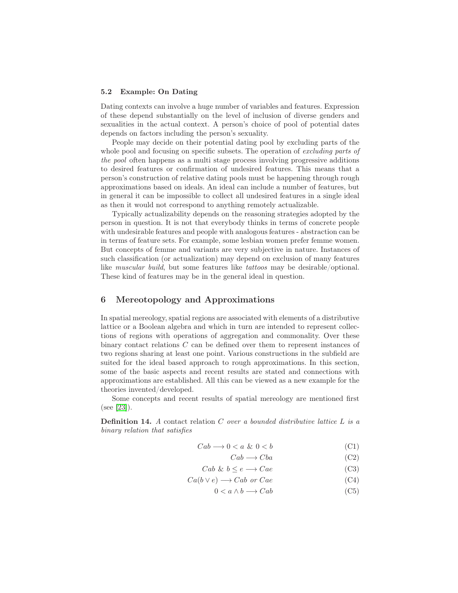### 5.2 Example: On Dating

Dating contexts can involve a huge number of variables and features. Expression of these depend substantially on the level of inclusion of diverse genders and sexualities in the actual context. A person's choice of pool of potential dates depends on factors including the person's sexuality.

People may decide on their potential dating pool by excluding parts of the whole pool and focusing on specific subsets. The operation of *excluding parts of* the pool often happens as a multi stage process involving progressive additions to desired features or confirmation of undesired features. This means that a person's construction of relative dating pools must be happening through rough approximations based on ideals. An ideal can include a number of features, but in general it can be impossible to collect all undesired features in a single ideal as then it would not correspond to anything remotely actualizable.

Typically actualizability depends on the reasoning strategies adopted by the person in question. It is not that everybody thinks in terms of concrete people with undesirable features and people with analogous features - abstraction can be in terms of feature sets. For example, some lesbian women prefer femme women. But concepts of femme and variants are very subjective in nature. Instances of such classification (or actualization) may depend on exclusion of many features like muscular build, but some features like tattoos may be desirable/optional. These kind of features may be in the general ideal in question.

### 6 Mereotopology and Approximations

In spatial mereology, spatial regions are associated with elements of a distributive lattice or a Boolean algebra and which in turn are intended to represent collections of regions with operations of aggregation and commonality. Over these binary contact relations C can be defined over them to represent instances of two regions sharing at least one point. Various constructions in the subfield are suited for the ideal based approach to rough approximations. In this section, some of the basic aspects and recent results are stated and connections with approximations are established. All this can be viewed as a new example for the theories invented/developed.

Some concepts and recent results of spatial mereology are mentioned first (see [\[23\]](#page-19-20)).

**Definition 14.** A contact relation C over a bounded distributive lattice  $L$  is a binary relation that satisfies

$$
Cab \longrightarrow 0 < a \ \& \ 0 < b \tag{C1}
$$

- $Cab \longrightarrow Cba$  (C2)
- $Cab \& b \leq e \longrightarrow Cae$  (C3)
- $Ca(b \vee e) \longrightarrow Cab \text{ or } Cae$  (C4)
	- $0 < a \wedge b \longrightarrow Cab$  (C5)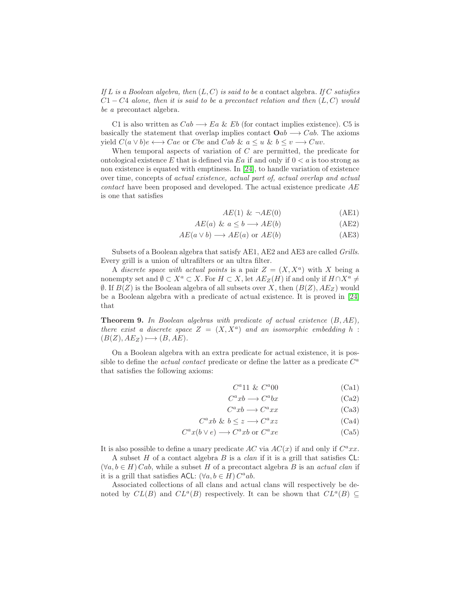If L is a Boolean algebra, then  $(L, C)$  is said to be a contact algebra. If C satisfies  $C1 - C4$  alone, then it is said to be a precontact relation and then  $(L, C)$  would be a precontact algebra.

C1 is also written as  $Cab \longrightarrow Ea \& Eb$  (for contact implies existence). C5 is basically the statement that overlap implies contact  $\mathbf{O}ab \longrightarrow Cab$ . The axioms yield  $C(a \vee b)e \longleftrightarrow Cae$  or  $Cbe$  and  $Cab \& a \leq u \& b \leq v \longrightarrow Cuv$ .

When temporal aspects of variation of C are permitted, the predicate for ontological existence E that is defined via Ea if and only if  $0 < a$  is too strong as non existence is equated with emptiness. In [\[24\]](#page-19-21), to handle variation of existence over time, concepts of actual existence, actual part of, actual overlap and actual contact have been proposed and developed. The actual existence predicate AE is one that satisfies

$$
AE(1) \& \neg AE(0) \tag{AE1}
$$

$$
AE(a) \& a \le b \longrightarrow AE(b) \tag{AE2}
$$

$$
AE(a \lor b) \longrightarrow AE(a) \text{ or } AE(b) \tag{AE3}
$$

Subsets of a Boolean algebra that satisfy AE1, AE2 and AE3 are called Grills. Every grill is a union of ultrafilters or an ultra filter.

A discrete space with actual points is a pair  $Z = (X, X^a)$  with X being a nonempty set and  $\emptyset \subset X^a \subset X$ . For  $H \subset X$ , let  $AE_Z(H)$  if and only if  $H \cap X^a \neq$  $\emptyset$ . If  $B(Z)$  is the Boolean algebra of all subsets over X, then  $(B(Z), AE_Z)$  would be a Boolean algebra with a predicate of actual existence. It is proved in [\[24\]](#page-19-21) that

**Theorem 9.** In Boolean algebras with predicate of actual existence  $(B, AE)$ , there exist a discrete space  $Z = (X, X^a)$  and an isomorphic embedding h:  $(B(Z), AE_Z) \longrightarrow (B, AE).$ 

On a Boolean algebra with an extra predicate for actual existence, it is possible to define the *actual contact* predicate or define the latter as a predicate  $C^a$ that satisfies the following axioms:

$$
C^a 11 \& C^a 00 \tag{Ca1}
$$

$$
C^a x b \longrightarrow C^a b x \tag{Ca2}
$$

$$
C^a x b \longrightarrow C^a x x \tag{Ca3}
$$

$$
C^a x b \& b \le z \longrightarrow C^a x z \tag{Ca4}
$$

$$
C^{a}x(b \vee e) \longrightarrow C^{a}xb \text{ or } C^{a}xe \qquad (Ca5)
$$

It is also possible to define a unary predicate AC via  $AC(x)$  if and only if  $C^a x x$ .

A subset H of a contact algebra B is a *clan* if it is a grill that satisfies  $CL$ :  $(\forall a, b \in H) Cab$ , while a subset H of a precontact algebra B is an *actual clan* if it is a grill that satisfies ACL:  $(\forall a, b \in H) C^a ab$ .

Associated collections of all clans and actual clans will respectively be denoted by  $CL(B)$  and  $CL^a(B)$  respectively. It can be shown that  $CL^a(B) \subseteq$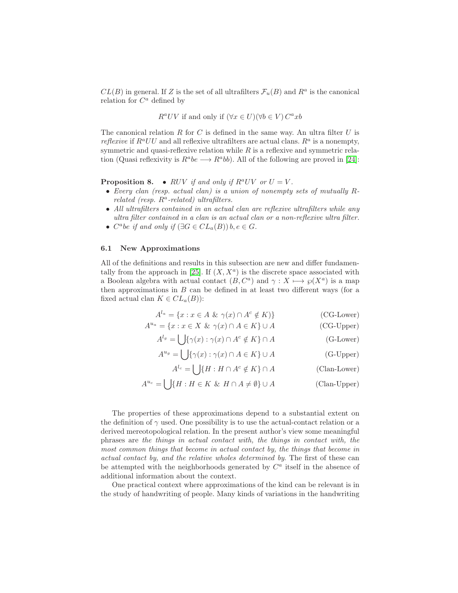$CL(B)$  in general. If Z is the set of all ultrafilters  $\mathcal{F}_u(B)$  and  $R^a$  is the canonical relation for  $C^a$  defined by

 $R^a UV$  if and only if  $(\forall x \in U)(\forall b \in V) C^a x b$ 

The canonical relation R for C is defined in the same way. An ultra filter U is *reflexive* if  $R^a U U$  and all reflexive ultrafilters are actual clans.  $R^a$  is a nonempty, symmetric and quasi-reflexive relation while  $R$  is a reflexive and symmetric relation (Quasi reflexivity is  $R^a b e \longrightarrow R^a b b$ ). All of the following are proved in [\[24\]](#page-19-21):

**Proposition 8.** • RUV if and only if  $R^aUV$  or  $U = V$ .

- Every clan (resp. actual clan) is a union of nonempty sets of mutually Rrelated (resp.  $R^a$ -related) ultrafilters.
- All ultrafilters contained in an actual clan are reflexive ultrafilters while any ultra filter contained in a clan is an actual clan or a non-reflexive ultra filter.
- $C^a$ be if and only if  $(\exists G \in CL_a(B))$ b,  $e \in G$ .

### 6.1 New Approximations

All of the definitions and results in this subsection are new and differ fundamen-tally from the approach in [\[25\]](#page-19-22). If  $(X, X^a)$  is the discrete space associated with a Boolean algebra with actual contact  $(B, C^a)$  and  $\gamma : X \longmapsto \wp(X^a)$  is a map then approximations in  $B$  can be defined in at least two different ways (for a fixed actual clan  $K \in CL_a(B)$ :

$$
A^{l_a} = \{x : x \in A \& \gamma(x) \cap A^c \notin K\}\
$$
 (CG-Lower)

$$
A^{u_a} = \{x : x \in X \& \gamma(x) \cap A \in K\} \cup A
$$
 (CG-Upper)

$$
A^{l_g} = \bigcup \{ \gamma(x) : \gamma(x) \cap A^c \notin K \} \cap A \tag{G-Lower}
$$

$$
A^{u_g} = \bigcup \{ \gamma(x) : \gamma(x) \cap A \in K \} \cup A \tag{G-Upper}
$$

$$
A^{l_c} = \bigcup \{ H : H \cap A^c \notin K \} \cap A \tag{Clan-Lower}
$$

$$
A^{u_c} = \bigcup \{ H : H \in K \& H \cap A \neq \emptyset \} \cup A
$$
 (Can-Upper)

The properties of these approximations depend to a substantial extent on the definition of  $\gamma$  used. One possibility is to use the actual-contact relation or a derived mereotopological relation. In the present author's view some meaningful phrases are the things in actual contact with, the things in contact with, the most common things that become in actual contact by, the things that become in actual contact by, and the relative wholes determined by. The first of these can be attempted with the neighborhoods generated by  $C^a$  itself in the absence of additional information about the context.

One practical context where approximations of the kind can be relevant is in the study of handwriting of people. Many kinds of variations in the handwriting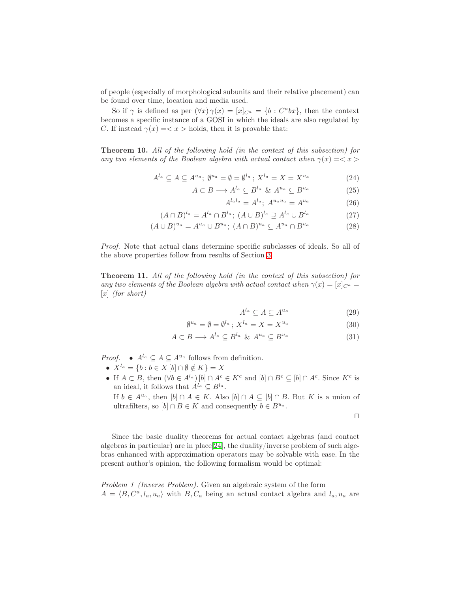of people (especially of morphological subunits and their relative placement) can be found over time, location and media used.

So if  $\gamma$  is defined as per  $(\forall x)\gamma(x) = [x]_{C^a} = \{b : C^a b x\}$ , then the context becomes a specific instance of a GOSI in which the ideals are also regulated by C. If instead  $\gamma(x) = \langle x \rangle$  holds, then it is provable that:

Theorem 10. All of the following hold (in the context of this subsection) for any two elements of the Boolean algebra with actual contact when  $\gamma(x) = \langle x \rangle$ 

$$
A^{l_a} \subseteq A \subseteq A^{u_a}; \ \emptyset^{u_a} = \emptyset = \emptyset^{l_a}; \ X^{l_a} = X = X^{u_a} \tag{24}
$$

$$
A \subset B \longrightarrow A^{l_a} \subseteq B^{l_a} \& A^{u_a} \subseteq B^{u_a} \tag{25}
$$

$$
A^{l_a l_a} = A^{l_a}; \ A^{u_a u_a} = A^{u_a} \tag{26}
$$

$$
(A \cap B)^{l_a} = A^{l_a} \cap B^{l_a}; \ (A \cup B)^{l_a} \supseteq A^{l_a} \cup B^{l_a} \tag{27}
$$

$$
(A \cup B)^{u_a} = A^{u_a} \cup B^{u_a}; \ (A \cap B)^{u_a} \subseteq A^{u_a} \cap B^{u_a}
$$
 (28)

Proof. Note that actual clans determine specific subclasses of ideals. So all of the above properties follow from results of Section [3](#page-4-0)

Theorem 11. All of the following hold (in the context of this subsection) for any two elements of the Boolean algebra with actual contact when  $\gamma(x) = [x]_{C^a} =$  $[x]$  (for short)

$$
A^{l_a} \subseteq A \subseteq A^{u_a} \tag{29}
$$

$$
\emptyset^{u_a} = \emptyset = \emptyset^{l_a}; \ X^{l_a} = X = X^{u_a} \tag{30}
$$

$$
A \subset B \longrightarrow A^{l_a} \subseteq B^{l_a} \& A^{u_a} \subseteq B^{u_a} \tag{31}
$$

*Proof.* •  $A^{l_a} \subseteq A \subseteq A^{u_a}$  follows from definition.

- $X^{l_a} = \{b : b \in X \mid b \mid \cap \emptyset \notin K\} = X$
- If  $A \subset B$ , then  $(\forall b \in A^{l_a}) [b] \cap A^c \in K^c$  and  $[b] \cap B^c \subseteq [b] \cap A^c$ . Since  $K^c$  is an ideal, it follows that  $A^{l_a} \subseteq B^{l_a}$ .

If  $b \in A^{u_a}$ , then  $[b] \cap A \in K$ . Also  $[b] \cap A \subseteq [b] \cap B$ . But K is a union of ultrafilters, so  $[b] \cap B \in K$  and consequently  $b \in B^{u_a}$ .

$$
\qquad \qquad \Box
$$

Since the basic duality theorems for actual contact algebras (and contact algebras in particular) are in place[\[24\]](#page-19-21), the duality/inverse problem of such algebras enhanced with approximation operators may be solvable with ease. In the present author's opinion, the following formalism would be optimal:

Problem 1 (Inverse Problem). Given an algebraic system of the form  $A = \langle B, C^a, l_a, u_a \rangle$  with  $B, C_a$  being an actual contact algebra and  $l_a, u_a$  are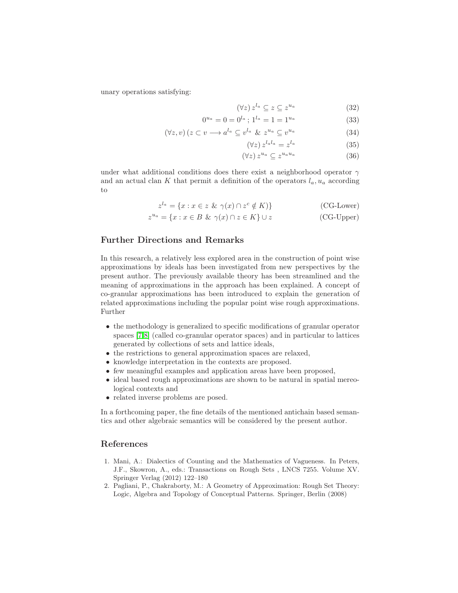unary operations satisfying:

$$
(\forall z) \, z^{l_a} \subseteq z \subseteq z^{u_a} \tag{32}
$$

$$
0^{u_a} = 0 = 0^{l_a}; \, 1^{l_a} = 1 = 1^{u_a} \tag{33}
$$

$$
(\forall z, v) \left( z \subset v \longrightarrow a^{l_a} \subseteq v^{l_a} \& z^{u_a} \subseteq v^{u_a} \right) \tag{34}
$$

$$
(\forall z) z^{l_a l_a} = z^{l_a} \tag{35}
$$

$$
(\forall z) \, z^{u_a} \subseteq z^{u_a u_a} \tag{36}
$$

under what additional conditions does there exist a neighborhood operator  $\gamma$ and an actual clan K that permit a definition of the operators  $l_a, u_a$  according to

$$
z^{l_a} = \{x : x \in z \& \gamma(x) \cap z^c \notin K)\}\
$$
 (CG-Lower)

$$
z^{u_a} = \{x : x \in B \& \gamma(x) \cap z \in K\} \cup z \tag{CG-Upper}
$$

# Further Directions and Remarks

In this research, a relatively less explored area in the construction of point wise approximations by ideals has been investigated from new perspectives by the present author. The previously available theory has been streamlined and the meaning of approximations in the approach has been explained. A concept of co-granular approximations has been introduced to explain the generation of related approximations including the popular point wise rough approximations. Further

- the methodology is generalized to specific modifications of granular operator spaces [\[7](#page-19-4)[,8\]](#page-19-5) (called co-granular operator spaces) and in particular to lattices generated by collections of sets and lattice ideals,
- the restrictions to general approximation spaces are relaxed,
- knowledge interpretation in the contexts are proposed.
- few meaningful examples and application areas have been proposed,
- ideal based rough approximations are shown to be natural in spatial mereological contexts and
- related inverse problems are posed.

In a forthcoming paper, the fine details of the mentioned antichain based semantics and other algebraic semantics will be considered by the present author.

## <span id="page-18-0"></span>References

- 1. Mani, A.: Dialectics of Counting and the Mathematics of Vagueness. In Peters, J.F., Skowron, A., eds.: Transactions on Rough Sets , LNCS 7255. Volume XV. Springer Verlag (2012) 122–180
- <span id="page-18-1"></span>2. Pagliani, P., Chakraborty, M.: A Geometry of Approximation: Rough Set Theory: Logic, Algebra and Topology of Conceptual Patterns. Springer, Berlin (2008)